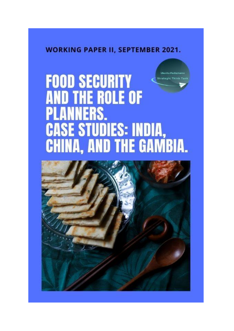# **WORKING PAPER II, SEPTEMBER 2021.**

# **Ubuntu-Pachamani FOOD SECURITY Strategic Think Ta AND THE ROLE OF PLANNERS. CASE STUDIES: INDIA,<br>CHINA, AND THE GAMBIA.**

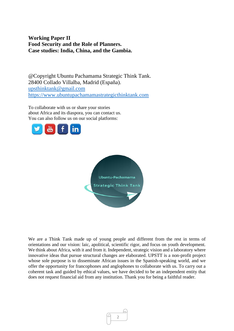# **Working Paper II Food Security and the Role of Planners. Case studies: India, China, and the Gambia.**

@Copyright Ubuntu Pachamama Strategic Think Tank. 28400 Collado Villalba, Madrid (España). [upsthinktank@gmail.com](mailto:upsthinktank@gmail.com) [https://www.ubuntupachamamastrategicthinktank.com](https://www.ubuntupachamamastrategicthinktank.com/)

To collaborate with us or share your stories about Africa and its diaspora, you can contact us. You can also follow us on our social platforms:





We are a Think Tank made up of young people and different from the rest in terms of orientations and our vision: laic, apolitical, scientific rigor, and focus on youth development. We think about Africa, with it and from it. Independent, strategic vision and a laboratory where innovative ideas that pursue structural changes are elaborated. UPSTT is a non-profit project whose sole purpose is to disseminate African issues in the Spanish-speaking world, and we offer the opportunity for francophones and anglophones to collaborate with us. To carry out a coherent task and guided by ethical values, we have decided to be an independent entity that does not request financial aid from any institution. Thank you for being a faithful reader.

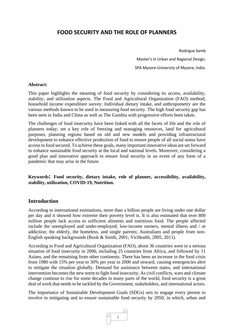# **FOOD SECURITY AND THE ROLE OF PLANNERS**

Rodrigue Samb

Master's in Urban and Regional Design, SPA Mysore-University of Mysore, India.

#### **Abstract:**

This paper highlights the meaning of food security by considering its access, availability, stability, and utilization aspects. The Food and Agricultural Organization (FAO) method; household income expenditure survey; Individual dietary intake, and anthropometry are the various methods known to be used in measuring food security. The high food security gap has been seen in India and China as well as The Gambia with progressive efforts been taken.

The challenges of food insecurity have been linked with all the facets of life and the role of planners today; set a key role of freezing and managing resources, land for agricultural purposes, planning regions based on old and new models and providing infrastructural development to enhance effective production of food to ensure people of all social status have access to food secured. To achieve these goals, many important innovative ideas are set forward to enhance sustainable food security at the local and national levels. Moreover, considering a good plan and innovative approach to ensure food security in an event of any form of a pandemic that may arise in the future.

**Keywords: Food security, dietary intake, role of planner, accessibility, availability, stability, utilization, COVID-19, Nutrition.** 

#### **Introduction**

According to international estimations, more than a billion people are living under one dollar per day and it showed how extreme their poverty level is. It is also estimated that over 800 million people lack access to sufficient aliments and nutritious food. The people affected include the unemployed and under-employed; low-income earners, mental illness and / or addiction; the elderly, the homeless, and single parents; Australians and people from non-English speaking backgrounds (Book & Smith, 2001; VicHealth, 2005, 2011).

According to Food and Agricultural Organization (FAO), about 36 countries were in a serious situation of food insecurity in 2006, including 25 countries from Africa, and followed by 11 Asians, and the remaining from other continents. There has been an increase in the food crisis from 1980 with 15% per year to 30% per year in 2000 and onward, causing emergencies alert to mitigate the situation globally. Demand for assistance between states, and international intervention becomes the new norm to fight food insecurity. As civil conflicts, wars and climate change continue to rise for some decades in many parts of the world, food security is a great deal of work that needs to be tackled by the Government, stakeholders, and international actors.

The importance of Sustainable Development Goals (SDGs) sets to engage every person to involve in mitigating and to ensure sustainable food security by 2050, in which, urban and

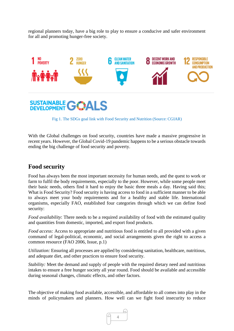regional planners today, have a big role to play to ensure a conducive and safer environment for all and promoting hunger-free society.



Fig 1. The SDGs goal link with Food Security and Nutrition (Source: CGIAR)

With the Global challenges on food security, countries have made a massive progressive in recent years. However, the Global Covid-19 pandemic happens to be a serious obstacle towards ending the big challenge of food security and poverty.

# **Food security**

Food has always been the most important necessity for human needs, and the quest to work or farm to fulfil the body requirements, especially to the poor. However, while some people meet their basic needs, others find it hard to enjoy the basic three meals a day. Having said this; What is Food Security? Food security is having access to food in a sufficient manner to be able to always meet your body requirements and for a healthy and stable life. International organisms, especially FAO, established four categories through which we can define food security:

*Food availability*: There needs to be a required availability of food with the estimated quality and quantities from domestic, imported, and export food products.

*Food access:* Access to appropriate and nutritious food is entitled to all provided with a given command of legal-political, economic, and social arrangements given the right to access a common resource (FAO 2006, Issue, p.1)

*Utilization:* Ensuring all processes are applied by considering sanitation, healthcare, nutritious, and adequate diet, and other practices to ensure food security.

*Stability:* Meet the demand and supply of people with the required dietary need and nutritious intakes to ensure a free hunger society all year round. Food should be available and accessible during seasonal changes, climatic effects, and other factors.

The objective of making food available, accessible, and affordable to all comes into play in the minds of policymakers and planners. How well can we fight food insecurity to reduce

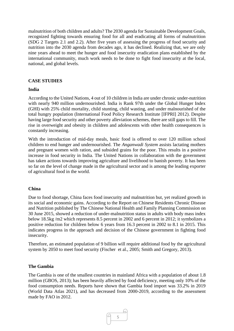malnutrition of both children and adults? The 2030 agenda for Sustainable Development Goals, recognized fighting towards ensuring food for all and eradicating all forms of malnutrition (SDG 2 Targets 2.1 and 2.2). After five years of assessing the progress of food security and nutrition into the 2030 agenda from decades ago, it has declined. Realizing that, we are only nine years ahead to meet the hunger and food insecurity eradication plans established by the international community, much work needs to be done to fight food insecurity at the local, national, and global levels.

#### **CASE STUDIES**

#### **India**

According to the United Nations, 4 out of 10 children in India are under chronic under-nutrition with nearly 940 million undernourished. India is Rank 97th under the Global Hunger Index (GHI) with 25% child mortality, child stunting, child wasting, and under malnourished of the total hungry population (International Food Policy Research Institute [IFPRI] 2012). Despite having large food security and other poverty alleviation schemes, there are still gaps to fill. The rise in overweight and obesity in children and adolescents with other health consequences is constantly increasing.

With the introduction of mid-day meals, basic food is offered to over 120 million school children to end hunger and undernourished. The *Anganwadi System* assists lactating mothers and pregnant women with ration, and subsided grains for the poor. This results in a positive increase in food security in India. The United Nations in collaboration with the government has taken actions towards improving agriculture and livelihood to banish poverty. It has been so far on the level of change made in the agricultural sector and is among the leading exporter of agricultural food in the world.

#### **China**

Due to food shortage, China faces food insecurity and malnutrition but, yet realized growth in its social and economic gains. According to the Report on Chinese Residents Chronic Disease and Nutrition published by The Chinese National Health and Family Planning Commission on 30 June 2015, showed a reduction of under-malnutrition status in adults with body mass index below 18.5kg /m2 which represents 8.5 percent in 2002 and 6 percent in 2012; it symbolizes a positive reduction for children below 6 years from 16.3 percent in 2002 to 8.1 in 2015. This indicates progress in the approach and decision of the Chinese government in fighting food insecurity.

Therefore, an estimated population of 9 billion will require additional food by the agricultural system by 2050 to meet food security (Fischer et al., 2005; Smith and Gregory, 2013).

#### **The Gambia**

The Gambia is one of the smallest countries in mainland Africa with a population of about 1.8 million (GBOS, 2013); has been heavily affected by food deficiency, meeting only 10% of the food consumption needs. Reports have shown that Gambia food import was 33.2% in 2019 (World Data Atlas 2021), and has decreased from 2000-2019, according to the assessment made by FAO in 2012.

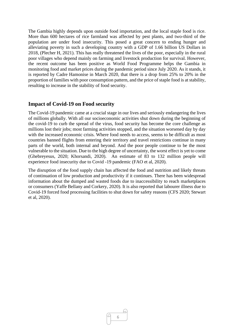The Gambia highly depends upon outside food importation, and the local staple food is rice. More than 600 hectares of rice farmland was affected by pest plants, and two-third of the population are under food insecurity. This posed a great concern to ending hunger and alleviating poverty in such a developing country with a GDP of 1.66 billion US Dollars in 2018, (Plecher H, 2021). This has really threatened the lives of the poor, especially in the rural poor villages who depend mainly on farming and livestock production for survival. However, the recent outcome has been positive as World Food Programme helps the Gambia in monitoring food and market prices during the pandemic period since July 2020. As it stands, it is reported by Cadre Hamonise in March 2020, that there is a drop from 25% to 20% in the proportion of families with poor consumption pattern, and the price of staple food is at stability, resulting to increase in the stability of food security.

#### **Impact of Covid-19 on Food security**

The Covid-19 pandemic came at a crucial stage in our lives and seriously endangering the lives of millions globally. With all our socioeconomic activities shut down during the beginning of the covid-19 to curb the spread of the virus, food security has become the core challenge as millions lost their jobs; most farming activities stopped, and the situation worsened day by day with the increased economic crisis. Where food needs to access, seems to be difficult as most countries banned flights from entering their territory and travel restrictions continue in many parts of the world, both internal and beyond. And the poor people continue to be the most vulnerable to the situation. Due to the high degree of uncertainty, the worst effect is yet to come (Ghebreyesus, 2020; Khorsandi, 2020). An estimate of 83 to 132 million people will experience food insecurity due to Covid -19 pandemic (FAO et al, 2020).

The disruption of the food supply chain has affected the food and nutrition and likely threats of continuation of low production and productivity if it continues. There has been widespread information about the dumped and wasted foods due to inaccessibility to reach marketplaces or consumers (Yaffe Bellany and Corkery, 2020). It is also reported that labourer illness due to Covid-19 forced food processing facilities to shut down for safety reasons (CFS 2020; Stewart et al, 2020).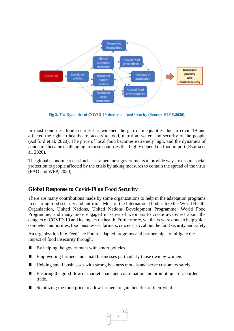

**Fig 2. The Dynamics of COVID-19 threats on food security (Source: HLPE.2020).**

In most countries, food security has widened the gap of inequalities due to covid-19 and affected the right to healthcare, access to food, nutrition, water, and security of the people (Ashford et al, 2020). The price of local food becomes extremely high, and the dynamics of pandemic became challenging to those countries that highly depend on food import (Espitia et al, 2020).

The global economic recession has strained most governments to provide ways to ensure social protection to people affected by the crisis by taking measures to contain the spread of the virus (FAO and WFP, 2020).

### **Global Response to Covid-19 on Food Security**

There are many contributions made by some organizations to help in the adaptation programs in ensuring food security and nutrition. Most of the International bodies like the World Health Organization, United Nations, United Nations Development Programme, World Food Programme, and many more engaged in series of webinars to create awareness about the dangers of COVID-19 and its impact on health. Furthermore, webinars were done to help guide competent authorities, food businesses, farmers, citizens, etc. about the food security and safety

An organization like Feed The Future adapted programs and partnerships to mitigate the impact of food insecurity through:

- $\blacksquare$  By helping the government with smart policies.
- Empowering farmers and small businesses particularly those own by women.
- Helping small businesses with strong business models and serve customers safely.
- Ensuring the good flow of market chain and continuation and promoting cross border trade.
- Stabilizing the food price to allow farmers to gain benefits of their yield.

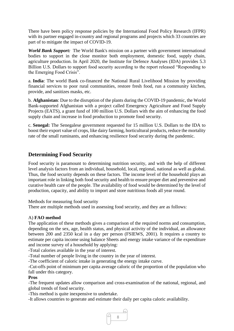There have been policy response policies by the International Food Policy Research (IFPR) with its partner engaged in-country and regional programs and projects which 33 countries are part of to mitigate the impact of COVID-19.

*World Bank Support:* The World Bank's mission on a partner with government international bodies to support in the close monitor both employment, domestic food, supply chain, agriculture production. In April 2020, the Institute for Defence Analyses (IDA) provides 5.3 Billion U.S. Dollars to support food security according to the report released "Responding to the Emerging Food Crisis".

a. **India**: The world Bank co-financed the National Rural Livelihood Mission by providing financial services to poor rural communities, restore fresh food, run a community kitchen, provide, and sanitizes masks, etc.

b. **Afghanistan**: Due to the disruption of the plants during the COVID-19 pandemic, the World Bank-supported Afghanistan with a project called Emergency Agriculture and Food Supply Projects (EATS), a grant fund of 100 million U.S. Dollars with the aim of enhancing the food supply chain and increase in food production to promote food security.

c. **Senegal:** The Senegalese government requested for 15 million U.S. Dollars to the IDA to boost their export value of crops, like dairy farming, horticultural products, reduce the mortality rate of the small ruminants, and enhancing resilience food security during the pandemic.

## **Determining Food Security**

Food security is paramount to determining nutrition security, and with the help of different level analysis factors from an individual, household, local, regional, national as well as global. Thus, the food security depends on these factors. The income level of the household plays an important role in linking both food security and health to ensure proper diet and preventive and curative health care of the people. The availability of food would be determined by the level of production, capacity, and ability to import and store nutritious foods all year round.

Methods for measuring food security

There are multiple methods used in assessing food security, and they are as follows:

#### A) **FAO method**

The application of these methods gives a comparison of the required norms and consumption, depending on the sex, age, health status, and physical activity of the individual, an allowance between 200 and 2350 kcal in a day per person (FSIEWS, 2001). It requires a country to estimate per capita income using balance Sheets and energy intake variance of the expenditure and income survey of a household by applying:

-Total calories available in the year of interest.

-Total number of people living in the country in the year of interest.

-The coefficient of caloric intake in generating the energy intake curve.

-Cut-offs point of minimum per capita average caloric of the proportion of the population who fall under this category.

#### **Pros**

-The frequent updates allow comparison and cross-examination of the national, regional, and global trends of food security.

-This method is quite inexpensive to undertake.

-It allows countries to generate and estimate their daily per capita caloric availability.

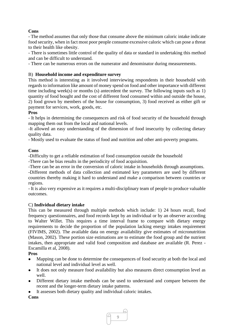#### **Cons**

- The method assumes that only those that consume above the minimum caloric intake indicate food security, when in fact most poor people consume excessive caloric which can pose a threat to their health like obesity.

- There is sometimes little control of the quality of data or standard in undertaking this method and can be difficult to understand.

- There can be numerous errors on the numerator and denominator during measurements.

#### B) **Household income and expenditure survey**

This method is interesting as it involved interviewing respondents in their household with regards to information like amount of money spend on food and other importance with different time including week(s) or months (s) antecedent the survey. The following inputs such as 1) quantity of food bought and the cost of different food consumed within and outside the house, 2) food grown by members of the house for consumption, 3) food received as either gift or payment for services, work, goods, etc.

#### **Pros**

- It helps in determining the consequences and risk of food security of the household through mapping them out from the local and national levels.

-It allowed an easy understanding of the dimension of food insecurity by collecting dietary quality data.

- Mostly used to evaluate the status of food and nutrition and other anti-poverty programs.

#### **Cons**

-Difficulty to get a reliable estimation of food consumption outside the household

-There can be bias results in the periodicity of food acquisition.

-There can be an error in the conversion of caloric intake in households through assumptions.

-Different methods of data collection and estimated key parameters are used by different countries thereby making it hard to understand and make a comparison between countries or regions.

- It is also very expensive as it requires a multi-disciplinary team of people to produce valuable outcomes.

#### C) **Individual dietary intake**

This can be measured through multiple methods which include: 1) 24 hours recall, food frequency questionnaires, and food records kept by an individual or by an observer according to Walter Willet. This requires a time interval frame to compare with dietary energy requirements to decide the proportion of the population lacking energy intakes requirement (FIVIMS, 2002). The available data on energy availability give estimates of micronutrition (Mason, 2002). These portion size estimations are to estimate the food group and the nutrient intakes, then appropriate and valid food composition and database are available (R. Perez - Escamilla et al, 2008).

#### **Pros**

- ⚫ Mapping can be done to determine the consequences of food security at both the local and national level and individual level as well.
- ⚫ It does not only measure food availability but also measures direct consumption level as well.
- ⚫ Different dietary intake methods can be used to understand and compare between the recent and the longer-term dietary intake patterns.
- It assesses both dietary quality and individual caloric intakes.

#### **Cons**

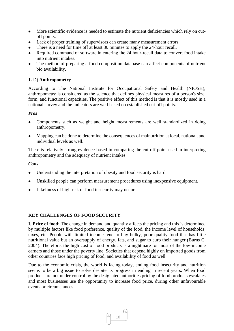- More scientific evidence is needed to estimate the nutrient deficiencies which rely on cutoff points.
- ⚫ Lack of proper training of supervisors can create many measurement errors.
- There is a need for time off at least 30 minutes to apply the 24-hour recall.
- Required command of software in entering the 24 hour-recall data to convert food intake into nutrient intakes.
- The method of preparing a food composition database can affect components of nutrient bio availability.

#### **1.** D) **Anthropometry**

According to The National Institute for Occupational Safety and Health (NIOSH), anthropometry is considered as the science that defines physical measures of a person's size, form, and functional capacities. The positive effect of this method is that it is mostly used in a national survey and the indicators are well based on established cut-off points.

#### *Pros*

- ⚫ Components such as weight and height measurements are well standardized in doing anthropometry.
- ⚫ Mapping can be done to determine the consequences of malnutrition at local, national, and individual levels as well.

There is relatively strong evidence-based in comparing the cut-off point used in interpreting anthropometry and the adequacy of nutrient intakes.

#### *Cons*

- Understanding the interpretation of obesity and food security is hard.
- ⚫ Unskilled people can perform measurement procedures using inexpensive equipment.
- ⚫ Likeliness of high risk of food insecurity may occur.

#### **KEY CHALLENGES OF FOOD SECURITY**

**I. Price of food:** The change in demand and quantity affects the pricing and this is determined by multiple factors like food preference, quality of the food, the income level of households, taxes, etc. People with limited income tend to buy bulky, poor quality food that has little nutritional value but an oversupply of energy, fats, and sugar to curb their hunger (Burns C, 2004). Therefore, the high cost of food products is a nightmare for most of the low-income earners and those under the poverty line. Societies that depend highly on imported goods from other countries face high pricing of food, and availability of food as well.

Due to the economic crisis, the world is facing today, ending food insecurity and nutrition seems to be a big issue to solve despite its progress in ending in recent years. When food products are not under control by the designated authorities pricing of food products escalates and most businesses use the opportunity to increase food price, during other unfavourable events or circumstances.

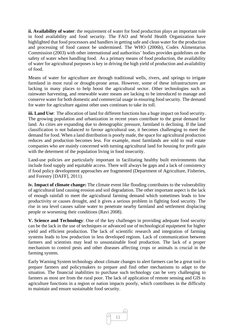**ii. Availability of water**: the requirement of water for food production plays an important role in food availability and food security. The FAO and World Health Organization have highlighted that food processors and handlers in getting safe and clean water for the production and processing of food cannot be undermined. The WHO (2006b), Codex Alimentarius Commission (2003) with other international and authorities' bodies provides guidelines on the safety of water when handling food. As a primary means of food production, the availability of water for agricultural purposes is key in driving the high yield of production and availability of food.

Means of water for agriculture are through traditional wells, rivers, and springs to irrigate farmland in most rural or drought-prone areas. However, some of these infrastructures are lacking in many places to help boost the agricultural sector. Other technologies such as rainwater harvesting, and renewable water means are lacking to be introduced to manage and conserve water for both domestic and commercial usage in ensuring food security. The demand for water for agriculture against other uses continues to take its toll.

**iii. Land Use**: The allocation of land for different functions has a huge impact on food security. The growing population and urbanization in recent years contribute to the great demand for land. As cities are expanding due to demographic pressure, farmland is declining. If the land classification is not balanced to favour agricultural use, it becomes challenging to meet the demand for food. When a land distribution is poorly made, the space for agricultural production reduces and production becomes less. For example, most farmlands are sold to real estate companies who are mainly concerned with turning agricultural land for housing for profit gain with the determent of the population living in food insecurity.

Land-use policies are particularly important in facilitating healthy built environments that include food supply and equitable access. There will always be gaps and a lack of consistency if food policy development approaches are fragmented (Department of Agriculture, Fisheries, and Forestry [DAFF], 2011).

**iv. Impact of climate change:** The climate event like flooding contributes to the vulnerability of agricultural land causing erosion and soil degradation. The other important aspect is the lack of enough rainfall to meet the agricultural farming demand which sometimes leads to low productivity or causes drought, and it gives a serious problem in fighting food security. The rise in sea level causes saline water to penetrate nearby farmland and settlement displacing people or worsening their conditions (Ravi 2008).

**V. Science and Technology**: One of the key challenges in providing adequate food security can be the lack in the use of techniques or advanced use of technological equipment for higher yield and efficient production. The lack of scientific research and integration of farming systems leads to low production in less developed regions. Lack of communication between farmers and scientists may lead to unsustainable food production. The lack of a proper mechanism to control pests and other diseases affecting crops or animals is crucial in the farming system.

Early Warning System technology about climate changes to alert farmers can be a great tool to prepare farmers and policymakers to prepare and find other mechanisms to adapt to the situation. The financial inabilities to purchase such technology can be very challenging to farmers as most are from the rural poor. The lack of application of remote sensing and GIS in agriculture functions in a region or nation impacts poorly, which contributes in the difficulty to maintain and ensure sustainable food security.

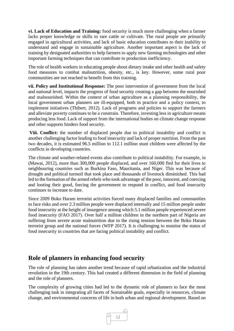**vi. Lack of Education and Training:** food security is much more challenging when a farmer lacks proper knowledge or skills to rare cattle or cultivate. The rural people are primarily engaged in agricultural activities, and lack of basic education contributes to their inability to understand and engage in sustainable agriculture. Another important aspect is the lack of training by designated authorities to help farmers to apply new farming technologies and other important farming techniques that can contribute to production inefficiency.

The role of health workers in educating people about dietary intake and other health and safety food measures to combat malnutrition, obesity, etc., is key. However, some rural poor communities are not reached to benefit from this training.

**vii. Policy and Institutional Response:** The poor intervention of government from the local and national level, impacts the progress of food security creating a gap between the nourished and malnourished. Within the context of urban agriculture as a planning responsibility, the local government urban planners are ill-equipped, both in practice and a policy context, to implement initiatives (Thibert, 2012). Lack of programs and policies to support the farmers and alleviate poverty continues to be a constrain. Therefore, investing less in agriculture means producing less food. Lack of support from the international bodies on climate change response and other supports hinders food security.

**Viii. Conflict:** the number of displaced people due to political instability and conflict is another challenging factor leading to food insecurity and lack of proper nutrition. From the past two decades, it is estimated 96.5 million to 112.1 million stunt children were affected by the conflicts in developing countries.

The climate and weather-related events also contribute to political instability. For example, in (Mawai, 2012), more than 300,000 people displaced, and over 160,000 fled for their lives to neighbouring countries such as Burkina Faso, Mauritania, and Niger. This was because of drought and political turmoil that took place and thousands of livestock diminished. This had led to the formation of the armed rebels who took advantage of the poor, innocent, and coercing and looting their good, forcing the government to respond in conflict, and food insecurity continues to increase to date.

Since 2009 Boko Haram terrorist activities forced many displaced families and communities to face risks and over 2.3 million people were displaced internally and 15 million people under food insecurity at the height of insurgence among which 5.1 million people experienced severe food insecurity (FAO 2017). Over half a million children in the northern part of Nigeria are suffering from severe acute malnutrition due to the rising tension between the Boko Haram terrorist group and the national forces (WFP 2017). It is challenging to monitor the status of food insecurity in countries that are facing political instability and conflict.

# **Role of planners in enhancing food security**

The role of planning has taken another trend because of rapid urbanization and the industrial revolution in the 19th century. This had created a different dimension in the field of planning and the role of planners.

The complexity of growing cities had led to the dynamic role of planners to face the most challenging task in integrating all facets of Sustainable goals, especially in resources, climate change, and environmental concerns of life in both urban and regional development. Based on

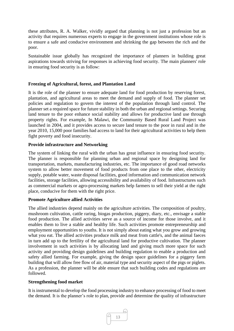these attributes, R. A. Walker, vividly argued that planning is not just a profession but an activity that requires numerous experts to engage in the government institutions whose role is to ensure a safe and conducive environment and shrinking the gap between the rich and the poor.

Sustainable issue globally has recognized the importance of planners in building great aspirations towards striving for responses in achieving food security. The main planners' role in ensuring food security is as follow:

#### **Freezing of Agricultural, forest, and Plantation Land**

It is the role of the planner to ensure adequate land for food production by reserving forest, plantation, and agricultural areas to meet the demand and supply of food. The planner set policies and regulation to govern the interest of the population through land control. The planner set a required space for future stability in both the urban and regional settings. Securing land tenure to the poor enhance social stability and allows for productive land use through property rights. For example, In Malawi, the Community Based Rural Land Project was launched in 2004, and it provides access to secure land tenure to the poor in rural and in the year 2010, 15,000 poor families had access to land for their agricultural activities to help them fight poverty and food insecurity.

#### **Provide infrastructure and Networking**

The system of linking the rural with the urban has great influence in ensuring food security. The planner is responsible for planning urban and regional space by designing land for transportation, markets, manufacturing industries, etc. The importance of good road networks system to allow better movement of food products from one place to the other, electricity supply, potable water, waste disposal facilities, good information and communication network facilities, storage facilities, allowing accessibility and availability of food. Infrastructures such as commercial markets or agro-processing markets help farmers to sell their yield at the right place, conducive for them with the right price.

#### **Promote Agriculture allied Activities**

The allied industries depend mainly on the agriculture activities. The composition of poultry, mushroom cultivation, cattle raring, biogas production, piggery, diary, etc., envisage a stable food production. The allied activities serve as a source of income for those involve, and it enables them to live a stable and healthy life. Such activities promote entrepreneurship and employment opportunities to youths. It is not simply about eating what you grow and growing what you eat. The allied activities produce milk and meat from cattle's, and the animal faeces in turn add up to the fertility of the agricultural land for productive cultivation. The planner involvement in such activities is by allocating land and giving much more space for such activity and providing design guidelines and building regulation to enable a production and safety allied farming. For example, giving the design space guidelines for a piggery farm building that will allow free flow of air, material type and security aspect of the pigs or piglets. As a profession, the planner will be able ensure that such building codes and regulations are followed.

#### **Strengthening food market**

It is instrumental to develop the food processing industry to enhance processing of food to meet the demand. It is the planner's role to plan, provide and determine the quality of infrastructure

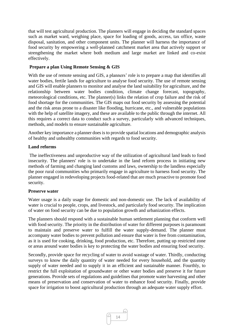that will test agricultural production. The planners will engage in deciding the standard spaces such as market ward, weighing place, space for loading of goods, access, tax office, waste disposal, sanitation, and other component units. The planner will harness the importance of food security by empowering a well-planned catchment market area that actively support or strengthening the market where both medium and large market are linked and co-exist effectively.

#### **Prepare a plan Using Remote Sensing & GIS**

With the use of remote sensing and GIS, a planners' role is to prepare a map that identifies all water bodies, fertile lands for agriculture to analyse food security. The use of remote sensing and GIS will enable planners to monitor and analyse the land suitability for agriculture, and the relationship between water bodies condition, climate change forecast, topography, meteorological conditions, etc. The planner(s) links the relation of crop failure and the risk of food shortage for the communities. The GIS maps out food security by assessing the potential and the risk areas prone to a disaster like flooding, hurricane, etc., and vulnerable populations with the help of satellite imagery, and these are available to the public through the internet. All this requires a correct data to conduct such a survey, particularly with advanced techniques, methods, and models to ensure sustainable agriculture.

Another key importance a planner does is to provide spatial locations and demographic analysis of healthy and unhealthy communities with regards to food security.

#### **Land reforms**

The ineffectiveness and unproductive way of the utilization of agricultural land leads to food insecurity. The planners' role is to undertake in the land reform process in initiating new methods of farming and changing land customs and laws, ownership to the landless especially the poor rural communities who primarily engage in agriculture to harness food security. The planner engaged in redeveloping projects food-related that are much proactive to promote food security.

#### **Preserve water**

Water usage is a daily usage for domestic and non-domestic use. The lack of availability of water is crucial to people, crops, and livestock, and particularly food security. The implication of water on food security can be due to population growth and urbanization effects.

The planners should respond with a sustainable human settlement planning that conform well with food security. The priority in the distribution of water for different purposes is paramount to maintain and preserve water to fulfill the water supply-demand. The planner must accompany water bodies to prevent pollution and ensure that water is free from contamination, as it is used for cooking, drinking, food production, etc. Therefore, putting up restricted zone or areas around water bodies is key to protecting the water bodies and ensuring food security.

Secondly, provide space for recycling of water to avoid wastage of water. Thirdly, conducting surveys to know the daily quantity of water needed for every household, and the quantity supply of water needed and to supply it in an efficient and sustainable manner. Fourthly, to restrict the full exploitation of groundwater or other water bodies and preserve it for future generations. Provide sets of regulations and guidelines that promote water harvesting and other means of preservation and conservation of water to enhance food security. Finally, provide space for irrigation to boost agricultural production through an adequate water supply effort.

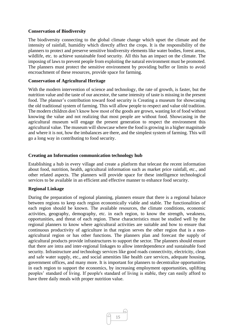#### **Conservation of Biodiversity**

The biodiversity connecting to the global climate change which upset the climate and the intensity of rainfall, humidity which directly affect the crops. It is the responsibility of the planners to protect and preserve sensitive biodiversity elements like water bodies, forest areas, wildlife, etc. to achieve sustainable food security. All this has an impact on the climate. The imposing of laws to prevent people from exploiting the natural environment must be promoted. The planners must protect the sensitive environment by providing buffer or limits to avoid encroachment of these resources, provide space for farming.

#### **Conservation of Agricultural Heritage**

With the modern intervention of science and technology, the rate of growth, is faster, but the nutrition value and the taste of our ancestor, the same intensity of taste is missing in the present food. The planner's contribution toward food security is Creating a museum for showcasing the old traditional system of farming. This will allow people to respect and value old tradition. The modern children don't know how most of the goods are grown, wasting lot of food without knowing the value and not realizing that most people are without food. Showcasing in the agricultural museum will engage the present generation to respect the environment this agricultural value. The museum will showcase where the food is growing in a higher magnitude and where it is not, how the imbalances are there, and the simplest system of farming. This will go a long way in contributing to food security.

#### **Creating an Information communication technology hub**

Establishing a hub in every village and create a platform that telecast the recent information about food, nutrition, health, agricultural information such as market price rainfall, etc., and other related aspects. The planners will provide space for these intelligence technological services to be available in an efficient and effective manner to enhance food security.

#### **Regional Linkage**

During the preparation of regional planning, planners ensure that there is a regional balance between regions to keep each region economically viable and stable. The functionalities of each region should be known. The available resources, the climate conditions, economic activities, geography, demography, etc. in each region, to know the strength, weakness, opportunities, and threat of each region. These characteristics must be studied well by the regional planners to know where agricultural activities are suitable and how to ensure that continuous productivity of agriculture in that region serves the other region that is a nonagricultural region or has other functions. The planners plan and forecast the supply of agricultural products provide infrastructures to support the sector. The planners should ensure that there are intra and inter-regional linkages to allow interdependence and sustainable food security. Infrastructure and technology services like good roads connectivity, electricity, clean and safe water supply, etc., and social amenities like health care services, adequate housing, government offices, and many more. It is important for planners to decentralize opportunities in each region to support the economics, by increasing employment opportunities, uplifting peoples' standard of living. If people's standard of living is stable, they can easily afford to have three daily meals with proper nutrition value.

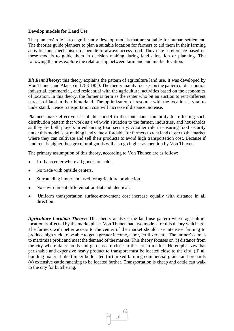#### **Develop models for Land Use**

The planners' role is to significantly develop models that are suitable for human settlement. The theories guide planners to plan a suitable location for farmers to aid them in their farming activities and mechanism for people to always access food. They take a reference based on these models to guide them in decision making during land allocation or planning. The following theories explore the relationship between farmland and market location.

*Bit Rent Theory*: this theory explains the pattern of agriculture land use. It was developed by Von Thunen and Alanso in 1783-1850. The theory mainly focuses on the pattern of distribution industrial, commercial, and residential with the agricultural activities based on the economics of location. In this theory, the farmer is term as the renter who bit an auction to rent different parcels of land in their hinterland. The optimization of resource with the location is vital to understand. Hence transportation cost will increase if distance increase.

Planners make effective use of this model to distribute land suitability for effecting such distribution pattern that work as a win-win situation to the farmer, industries, and households as they are both players in enhancing food security. Another role in ensuring food security under this model is by making land value affordable for farmers to rent land closer to the market where they can cultivate and sell their products to avoid high transportation cost. Because if land rent is higher the agricultural goods will also go higher as mention by Von Thuven.

The primary assumption of this theory, according to Von Thunen are as follow:

- 1 urban center where all goods are sold.
- ⚫ No trade with outside centers.
- ⚫ Surrounding hinterland used for agriculture production.
- ⚫ No environment differentiation-flat and identical.
- ⚫ Uniform transportation surface-movement cost increase equally with distance in all direction.

*Agriculture Location Theory:* This theory analyzes the land use pattern where agriculture location is affected by the marketplace. Von Thunen had two models for this theory which are: The farmers with better access to the center of the market should use intensive farming to produce high yield to be able to get a greater income, labor, fertilizer, etc.; The farmer's aim is to maximize profit and meet the demand of the market. This theory focuses on (i) distance from the city where dairy foods and gardens are close to the Urban market. He emphasizes that perishable and expensive heavy product to transport must be located close to the city, (ii) all building material like timber be located (iii) mixed farming commercial grains and orchards (v) extensive cattle ranching to be located farther. Transportation is cheap and cattle can walk to the city for butchering.

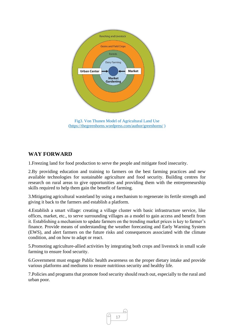

[\(https://thegreenhorns.wordpress.com/author/greenhorns/](https://thegreenhorns.wordpress.com/author/greenhorns/) )

## **WAY FORWARD**

1.Freezing land for food production to serve the people and mitigate food insecurity.

2.By providing education and training to farmers on the best farming practices and new available technologies for sustainable agriculture and food security. Building centres for research on rural areas to give opportunities and providing them with the entrepreneurship skills required to help them gain the benefit of farming.

3.Mitigating agricultural wasteland by using a mechanism to regenerate its fertile strength and giving it back to the farmers and establish a platform.

4.Establish a smart village: creating a village cluster with basic infrastructure service, like offices, market, etc., to serve surrounding villages as a model to gain access and benefit from it. Establishing a mechanism to update farmers on the trending market prices is key to farmer's finance. Provide means of understanding the weather forecasting and Early Warning System (EWS), and alert farmers on the future risks and consequences associated with the climate condition, and on how to adapt or react.

5.Promoting agriculture-allied activities by integrating both crops and livestock in small scale farming to ensure food security.

6.Government must engage Public health awareness on the proper dietary intake and provide various platforms and mediums to ensure nutritious security and healthy life.

7.Policies and programs that promote food security should reach out, especially to the rural and urban poor.

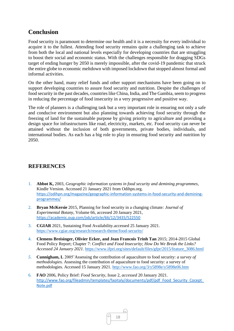# **Conclusion**

Food security is paramount to determine our health and it is a necessity for every individual to acquire it to the fullest. Attending food security remains quite a challenging task to achieve from both the local and national levels especially for developing countries that are struggling to boost their social and economic status. With the challenges responsible for dragging SDGs target of ending hunger by 2050 is merely impossible, after the covid-19 pandemic that struck the entire globe to economic meltdown with imposed lockdown that stopped almost formal and informal activities.

On the other hand, many relief funds and other support mechanisms have been going on to support developing countries to assure food security and nutrition. Despite the challenges of food security in the past decades, countries like China, India, and The Gambia, seem to progress in reducing the percentage of food insecurity in a very progressive and positive way.

The role of planners is a challenging task but a very important role in ensuring not only a safe and conducive environment but also planning towards achieving food security through the freezing of land for the sustainable purpose by giving priority to agriculture and providing a design space for infrastructures like road, electricity, markets, etc. Food security can never be attained without the inclusion of both governments, private bodies, individuals, and international bodies. As each has a big role to play in ensuring food security and nutrition by 2050.

## **REFERENCES**

- 1. **Abbot K,** 2003, *Geographic information systems in food security and demining programmes,*  Kindle Version. Accessed 21 January 2021 from Odihpn.org. [https://odihpn.org/magazine/geographic-information-systems-in-food-security-and-demining](https://odihpn.org/magazine/geographic-information-systems-in-food-security-and-demining-programmes/)[programmes/](https://odihpn.org/magazine/geographic-information-systems-in-food-security-and-demining-programmes/)
- 2. **[Bryan McKersie](https://academic.oup.com/jxb/search-results?f_Authors=Bryan+McKersie)** 2015, Planning for food security in a changing climate*: Journal of Experimental Botany*, Volume 66, accessed 20 January 2021, <https://academic.oup.com/jxb/article/66/12/3435/522550>
- 3. **CGIAR** 2021, Sustaining Food Availability.accessed 25 January 2021. <https://www.cgiar.org/research/research-theme/food-security/>
- 4. **Clemens Breisinger, Olivier Ecker, and Jean Francois Trinh Tan** 2015; 2014-2015 Global Food Policy Report; Chapter 7: *Conflict and Food Insecurity*; *How Do We Break the Links? Accessed 24 January 2021.* [https://www.ifpri.org/sites/default/files/gfpr/2015/feature\\_3086.html](https://www.ifpri.org/sites/default/files/gfpr/2015/feature_3086.html)
- *5.* **Cunnigham, L** 2005'Assessing the contribution of aquaculture to food security: *a survey of methodologies.* Assessing the contribution of aquaculture to food security: a survey of methodologies. Accessed 15 January 2021. <http://www.fao.org/3/y5898e/y5898e06.htm>
- 6. **FAO** 2006, Policy Brief: *Food Security,* Issue 2, *accessed* 20 January 2021*.*  http://www.fao.org/fileadmin/templates/faoitaly/documents/pdf/pdf\_Food\_Security\_Cocept [Note.pdf](http://www.fao.org/fileadmin/templates/faoitaly/documents/pdf/pdf_Food_Security_Cocept_Note.pdf)

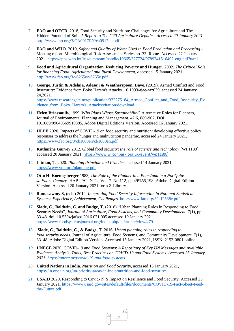- 7. **FAO and OECD**, 2018, Food Security and Nutrition: Challenges for Agriculture and The Hidden Potential of Soil; *A Report to The G20 Agriculture Deputies. Accessed 20 January 2021.*  <http://www.fao.org/3/CA0917EN/ca0917en.pdf>
- 8. **FAO and WHO**. 2019, *Safety and Quality of Water Used in Food Production and Processing*  Meeting report. Microbiological Risk Assessment Series no. 33. Rome. Accessed 22 January 2021.<https://apps.who.int/iris/bitstream/handle/10665/327724/9789241516402-eng.pdf?ua=1>
- 9. **Food and Agricultural Organization. Reducing Poverty and Hunger**, 2002*: The Critical Role for financing Food, Agricultural and Rural Development, a*ccessed 15 January 2021, <http://www.fao.org/3/y6265e/y6265e.pdf>
- 10. **George, Justin & Adelaja, Adesoji & Weatherspoon, Dave**. (2019). Armed Conflict and Food Insecurity: Evidence from Boko Haram's Attacks. 10.1093/ajae/aaz039. accessed 24 January 24,2021. [https://www.researchgate.net/publication/332275184\\_Armed\\_Conflict\\_and\\_Food\\_Insecurity\\_Ev](https://www.researchgate.net/publication/332275184_Armed_Conflict_and_Food_Insecurity_Evidence_from_Boko_Haram) idence from Boko Haram's Attacks/citation/download
- 11. **Helen Briassoulis,** 1999, W*ho Plans Whose Sustainability*? Alternative Roles for Planners, Journal of Environmental Planning and Management, 42:6, 889-902, DOI: 10.1080/09640569910885, Adobe Digital Editions Version. Accessed 16 January 2021.
- 12. **HLPE**.2020. Impacts of COVID-19 on food security and nutrition: developing effective policy responses to address the hunger and malnutrition pandemic. accessed 24 January 2021. <https://www.fao.org/3/cb1000en/cb1000en.pdf>
- 13. **Katharine Garvey** 2012, Global food security: *the role of science and technology* [WP1189], accessed 20 January 2021, <https://www.wiltonpark.org.uk/event/wp1189/>
- 14. **Litman, T.** 2020. *Planning Principle and Practice,* accessed 14 January 2021, <https://www.vtpi.org/planning.pdf>
- *15.* **Otto H. Koenigsberger** 1983, *The Role of the Planner in a Poor (and in a Not Quite so Poor) Country'* HABITATINTL. Vol. 7. No.112, pp.49%55,198. Adobe Digital Edition Version. Accessed 20 January 2021 form Z-Library.
- 16. **Ramasawmy S, (eds.)** 2012, *Integrating Food Security Information in National Statistical Systems*: *Experience, Achievement, Challenges.* <http://www.fao.org/3/a-i2588e.pdf>
- 17. **Slade, C., Baldwin, C. and Budge, T.** (2016) "Urban Planning Roles in Responding to Food Security Needs", *Journal of Agriculture, Food Systems, and Community Development*, 7(1), pp. 33-48. doi: 10.5304/jafscd.2016.071.005.accessed 19 January 2021. <https://www.foodsystemsjournal.org/index.php/fsj/article/view/479>
- 18. **Slade, C., Baldwin, C., & Budge, T**. 2016, *Urban planning roles in responding to food security needs*. Journal of Agriculture, Food Systems, and Community Development, 7(1), 33–48. Adobe Digital Edition Version. Accessed 15 January 2021, ISSN: 2152-0801 online.
- *19.* **UNECE** 2020, COVID-19 and Food Systems: *A Repository of Key UN Messages and Available Evidence, Analysis, Tools, Best Practices on COVID-19 and Food Systems. Accessed 25 January 2021. <https://unece.org/covid-19-and-food-systems>*
- 20. **United Nations in India**. *Nutrition and Food Security*, accessed 15 January 2021, <https://in.one.un.org/un-priority-areas-in-india/nutrition-and-food-security/>
- 21. **USAID** 2020, Responding to Covid-19'S Impact on Resilience and Food Security. Accessed 25 January 2021. [https://www.usaid.gov/sites/default/files/documents/COVID-19-Fact-Sheet-Feed](https://www.usaid.gov/sites/default/files/documents/COVID-19-Fact-Sheet-Feed-the-Future.pdf)[the-Future.pdf](https://www.usaid.gov/sites/default/files/documents/COVID-19-Fact-Sheet-Feed-the-Future.pdf)